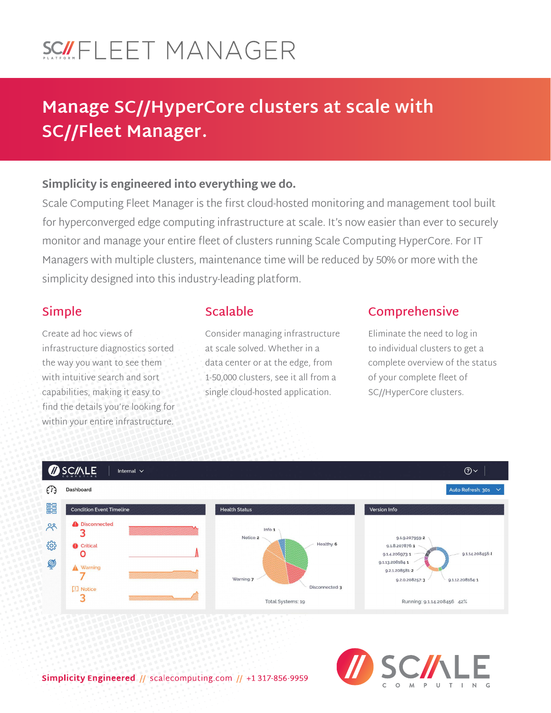# SCILEET MANAGER

## **Manage SC//HyperCore clusters at scale with SC//Fleet Manager.**

#### **Simplicity is engineered into everything we do.**

Scale Computing Fleet Manager is the first cloud-hosted monitoring and management tool built for hyperconverged edge computing infrastructure at scale. It's now easier than ever to securely monitor and manage your entire fleet of clusters running Scale Computing HyperCore. For IT Managers with multiple clusters, maintenance time will be reduced by 50% or more with the simplicity designed into this industry-leading platform.

### **Simple**

Create ad hoc views of infrastructure diagnostics sorted the way you want to see them with intuitive search and sort capabilities, making it easy to find the details you're looking for within your entire infrastructure.

## **Scalable**

Consider managing infrastructure at scale solved. Whether in a data center or at the edge, from 1-50,000 clusters, see it all from a single cloud-hosted application.

## **Comprehensive**

Eliminate the need to log in to individual clusters to get a complete overview of the status of your complete fleet of SC//HyperCore clusters.